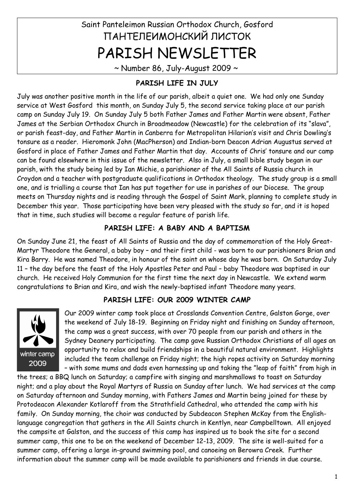# Saint Panteleimon Russian Orthodox Church, Gosford ПАНТЕЛЕИМОНСКИЙ ЛИСТОК PARISH NEWSLETTER

 $\sim$  Number 86, July-August 2009  $\sim$ 

## **PARISH LIFE IN JULY**

July was another positive month in the life of our parish, albeit a quiet one. We had only one Sunday service at West Gosford this month, on Sunday July 5, the second service taking place at our parish camp on Sunday July 19. On Sunday July 5 both Father James and Father Martin were absent, Father James at the Serbian Orthodox Church in Broadmeadow (Newcastle) for the celebration of its "slava", or parish feast-day, and Father Martin in Canberra for Metropolitan Hilarion's visit and Chris Dowling's tonsure as a reader. Hieromonk John (MacPherson) and Indian-born Deacon Adrian Augustus served at Gosford in place of Father James and Father Martin that day. Accounts of Chris' tonsure and our camp can be found elsewhere in this issue of the newsletter. Also in July, a small bible study began in our parish, with the study being led by Ian Michie, a parishioner of the All Saints of Russia church in Croydon and a teacher with postgraduate qualifications in Orthodox theology. The study group is a small one, and is trialling a course that Ian has put together for use in parishes of our Diocese. The group meets on Thursday nights and is reading through the Gospel of Saint Mark, planning to complete study in December this year. Those participating have been very pleased with the study so far, and it is hoped that in time, such studies will become a regular feature of parish life.

## **PARISH LIFE: A BABY AND A BAPTISM**

On Sunday June 21, the feast of All Saints of Russia and the day of commemoration of the Holy Great-Martyr Theodore the General, a baby boy – and their first child - was born to our parishioners Brian and Kira Barry. He was named Theodore, in honour of the saint on whose day he was born. On Saturday July 11 – the day before the feast of the Holy Apostles Peter and Paul – baby Theodore was baptised in our church. He received Holy Communion for the first time the next day in Newcastle. We extend warm congratulations to Brian and Kira, and wish the newly-baptised infant Theodore many years.

## **PARISH LIFE: OUR 2009 WINTER CAMP**



Our 2009 winter camp took place at Crosslands Convention Centre, Galston Gorge, over the weekend of July 18-19. Beginning on Friday night and finishing on Sunday afternoon, the camp was a great success, with over 70 people from our parish and others in the Sydney Deanery participating. The camp gave Russian Orthodox Christians of all ages an opportunity to relax and build friendships in a beautiful natural environment. Highlights included the team challenge on Friday night; the high ropes activity on Saturday morning – with some mums and dads even harnessing up and taking the "leap of faith" from high in

the trees; a BBQ lunch on Saturday; a campfire with singing and marshmallows to toast on Saturday night; and a play about the Royal Martyrs of Russia on Sunday after lunch. We had services at the camp on Saturday afternoon and Sunday morning, with Fathers James and Martin being joined for these by Protodeacon Alexander Kotlaroff from the Strathfield Cathedral, who attended the camp with his family. On Sunday morning, the choir was conducted by Subdeacon Stephen McKay from the Englishlanguage congregation that gathers in the All Saints church in Kentlyn, near Campbelltown. All enjoyed the campsite at Galston, and the success of this camp has inspired us to book the site for a second summer camp, this one to be on the weekend of December 12-13, 2009. The site is well-suited for a summer camp, offering a large in-ground swimming pool, and canoeing on Berowra Creek. Further information about the summer camp will be made available to parishioners and friends in due course.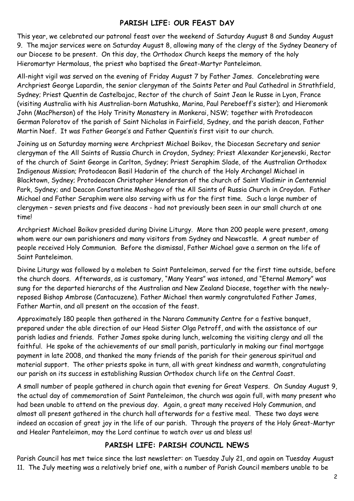#### **PARISH LIFE: OUR FEAST DAY**

This year, we celebrated our patronal feast over the weekend of Saturday August 8 and Sunday August 9. The major services were on Saturday August 8, allowing many of the clergy of the Sydney Deanery of our Diocese to be present. On this day, the Orthodox Church keeps the memory of the holy Hieromartyr Hermolaus, the priest who baptised the Great-Martyr Panteleimon.

All-night vigil was served on the evening of Friday August 7 by Father James. Concelebrating were Archpriest George Lapardin, the senior clergyman of the Saints Peter and Paul Cathedral in Strathfield, Sydney; Priest Quentin de Castelbajac, Rector of the church of Saint Jean le Russe in Lyon, France (visiting Australia with his Australian-born Matushka, Marina, Paul Pereboeff's sister); and Hieromonk John (MacPherson) of the Holy Trinity Monastery in Monkerai, NSW; together with Protodeacon German Polorotov of the parish of Saint Nicholas in Fairfield, Sydney, and the parish deacon, Father Martin Naef. It was Father George's and Father Quentin's first visit to our church.

Joining us on Saturday morning were Archpriest Michael Boikov, the Diocesan Secretary and senior clergyman of the All Saints of Russia Church in Croydon, Sydney; Priest Alexander Korjenevski, Rector of the church of Saint George in Carlton, Sydney; Priest Seraphim Slade, of the Australian Orthodox Indigenous Mission; Protodeacon Basil Hadarin of the church of the Holy Archangel Michael in Blacktown, Sydney; Protodeacon Christopher Henderson of the church of Saint Vladimir in Centennial Park, Sydney; and Deacon Constantine Moshegov of the All Saints of Russia Church in Croydon. Father Michael and Father Seraphim were also serving with us for the first time. Such a large number of clergymen – seven priests and five deacons - had not previously been seen in our small church at one time!

Archpriest Michael Boikov presided during Divine Liturgy. More than 200 people were present, among whom were our own parishioners and many visitors from Sydney and Newcastle. A great number of people received Holy Communion. Before the dismissal, Father Michael gave a sermon on the life of Saint Panteleimon.

Divine Liturgy was followed by a moleben to Saint Panteleimon, served for the first time outside, before the church doors. Afterwards, as is customary, "Many Years" was intoned, and "Eternal Memory" was sung for the departed hierarchs of the Australian and New Zealand Diocese, together with the newlyreposed Bishop Ambrose (Cantacuzene). Father Michael then warmly congratulated Father James, Father Martin, and all present on the occasion of the feast.

Approximately 180 people then gathered in the Narara Community Centre for a festive banquet, prepared under the able direction of our Head Sister Olga Petroff, and with the assistance of our parish ladies and friends. Father James spoke during lunch, welcoming the visiting clergy and all the faithful. He spoke of the achievements of our small parish, particularly in making our final mortgage payment in late 2008, and thanked the many friends of the parish for their generous spiritual and material support. The other priests spoke in turn, all with great kindness and warmth, congratulating our parish on its success in establishing Russian Orthodox church life on the Central Coast.

A small number of people gathered in church again that evening for Great Vespers. On Sunday August 9, the actual day of commemoration of Saint Panteleimon, the church was again full, with many present who had been unable to attend on the previous day. Again, a great many received Holy Communion, and almost all present gathered in the church hall afterwards for a festive meal. These two days were indeed an occasion of great joy in the life of our parish. Through the prayers of the Holy Great-Martyr and Healer Panteleimon, may the Lord continue to watch over us and bless us!

## **PARISH LIFE: PARISH COUNCIL NEWS**

Parish Council has met twice since the last newsletter: on Tuesday July 21, and again on Tuesday August 11. The July meeting was a relatively brief one, with a number of Parish Council members unable to be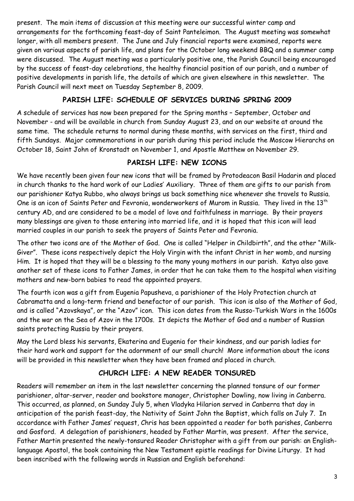present. The main items of discussion at this meeting were our successful winter camp and arrangements for the forthcoming feast-day of Saint Panteleimon. The August meeting was somewhat longer, with all members present. The June and July financial reports were examined, reports were given on various aspects of parish life, and plans for the October long weekend BBQ and a summer camp were discussed. The August meeting was a particularly positive one, the Parish Council being encouraged by the success of feast-day celebrations, the healthy financial position of our parish, and a number of positive developments in parish life, the details of which are given elsewhere in this newsletter. The Parish Council will next meet on Tuesday September 8, 2009.

#### **PARISH LIFE: SCHEDULE OF SERVICES DURING SPRING 2009**

A schedule of services has now been prepared for the Spring months – September, October and November - and will be available in church from Sunday August 23, and on our website at around the same time. The schedule returns to normal during these months, with services on the first, third and fifth Sundays. Major commemorations in our parish during this period include the Moscow Hierarchs on October 18, Saint John of Kronstadt on November 1, and Apostle Matthew on November 29.

#### **PARISH LIFE: NEW ICONS**

We have recently been given four new icons that will be framed by Protodeacon Basil Hadarin and placed in church thanks to the hard work of our Ladies' Auxiliary. Three of them are gifts to our parish from our parishioner Katya Rubbo, who always brings us back something nice whenever she travels to Russia. One is an icon of Saints Peter and Fevronia, wonderworkers of Murom in Russia. They lived in the 13<sup>th</sup> century AD, and are considered to be a model of love and faithfulness in marriage. By their prayers many blessings are given to those entering into married life, and it is hoped that this icon will lead married couples in our parish to seek the prayers of Saints Peter and Fevronia.

The other two icons are of the Mother of God. One is called "Helper in Childbirth", and the other "Milk-Giver". These icons respectively depict the Holy Virgin with the infant Christ in her womb, and nursing Him. It is hoped that they will be a blessing to the many young mothers in our parish. Katya also gave another set of these icons to Father James, in order that he can take them to the hospital when visiting mothers and new-born babies to read the appointed prayers.

The fourth icon was a gift from Eugenia Papusheva, a parishioner of the Holy Protection church at Cabramatta and a long-term friend and benefactor of our parish. This icon is also of the Mother of God, and is called "Azovskaya", or the "Azov" icon. This icon dates from the Russo-Turkish Wars in the 1600s and the war on the Sea of Azov in the 1700s. It depicts the Mother of God and a number of Russian saints protecting Russia by their prayers.

May the Lord bless his servants, Ekaterina and Eugenia for their kindness, and our parish ladies for their hard work and support for the adornment of our small church! More information about the icons will be provided in this newsletter when they have been framed and placed in church.

## **CHURCH LIFE: A NEW READER TONSURED**

Readers will remember an item in the last newsletter concerning the planned tonsure of our former parishioner, altar-server, reader and bookstore manager, Christopher Dowling, now living in Canberra. This occurred, as planned, on Sunday July 5, when Vladyka Hilarion served in Canberra that day in anticipation of the parish feast-day, the Nativity of Saint John the Baptist, which falls on July 7. In accordance with Father James' request, Chris has been appointed a reader for both parishes, Canberra and Gosford. A delegation of parishioners, headed by Father Martin, was present. After the service, Father Martin presented the newly-tonsured Reader Christopher with a gift from our parish: an Englishlanguage Apostol, the book containing the New Testament epistle readings for Divine Liturgy. It had been inscribed with the following words in Russian and English beforehand: